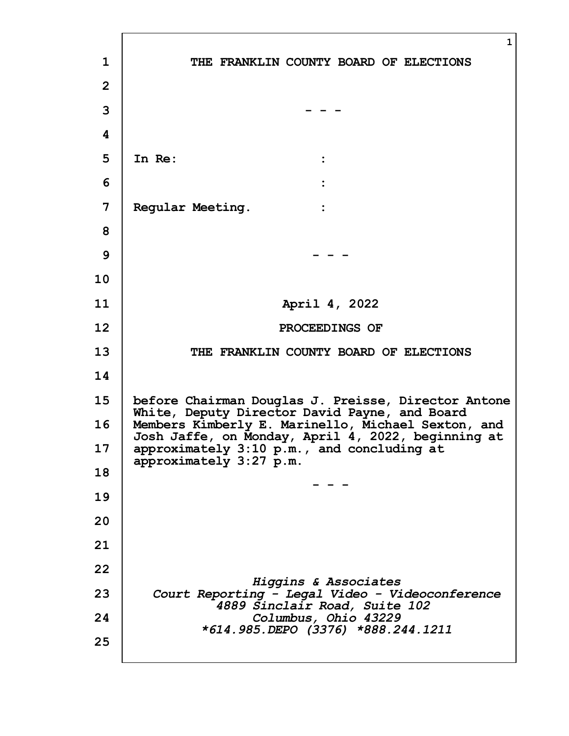|                | $\mathbf{1}$                                                                                             |
|----------------|----------------------------------------------------------------------------------------------------------|
| $\mathbf{1}$   | THE FRANKLIN COUNTY BOARD OF ELECTIONS                                                                   |
| $\overline{2}$ |                                                                                                          |
| 3              |                                                                                                          |
| 4              |                                                                                                          |
| 5              | In Re:                                                                                                   |
| 6              |                                                                                                          |
| 7              | Regular Meeting.<br>$\ddot{\cdot}$                                                                       |
| 8              |                                                                                                          |
| 9              |                                                                                                          |
| 10             |                                                                                                          |
| 11             | April 4, 2022                                                                                            |
| 12             | PROCEEDINGS OF                                                                                           |
| 13             | THE FRANKLIN COUNTY BOARD OF ELECTIONS                                                                   |
| 14             |                                                                                                          |
| 15             | before Chairman Douglas J. Preisse, Director Antone<br>White, Deputy Director David Payne, and Board     |
| 16             | Members Kimberly E. Marinello, Michael Sexton, and<br>Josh Jaffe, on Monday, April 4, 2022, beginning at |
| 17             | approximately 3:10 p.m., and concluding at<br>approximately 3:27 p.m.                                    |
| 18             |                                                                                                          |
| 19             |                                                                                                          |
| 20             |                                                                                                          |
| 21             |                                                                                                          |
| 22             | Higgins & Associates                                                                                     |
| 23             | Court Reporting - Legal Video - Videoconference<br>4889 Sinclair Road, Suite 102                         |
| 24             | Columbus, Ohio 43229<br>*614.985.DEPO (3376) *888.244.1211                                               |
| 25             |                                                                                                          |
|                |                                                                                                          |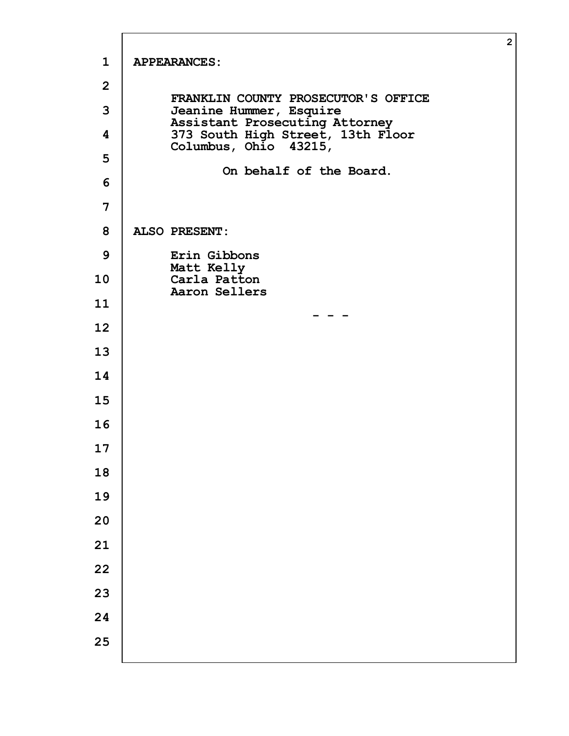|                         |                                                                     | $\overline{2}$ |
|-------------------------|---------------------------------------------------------------------|----------------|
| $\mathbf{1}$            | <b>APPEARANCES:</b>                                                 |                |
| $\overline{2}$          | FRANKLIN COUNTY PROSECUTOR'S OFFICE                                 |                |
| 3                       | Jeanine Hummer, Esquire                                             |                |
| $\overline{\mathbf{4}}$ | Assistant Prosecuting Attorney<br>373 South High Street, 13th Floor |                |
| 5                       | Columbus, Ohio 43215,                                               |                |
| 6                       | On behalf of the Board.                                             |                |
| 7                       |                                                                     |                |
| 8                       | <b>ALSO PRESENT:</b>                                                |                |
| 9                       | Erin Gibbons                                                        |                |
| 10                      | Matt Kelly<br>Carla Patton<br>Aaron Sellers                         |                |
| 11                      |                                                                     |                |
| 12                      |                                                                     |                |
| 13                      |                                                                     |                |
| 14                      |                                                                     |                |
| 15                      |                                                                     |                |
| 16                      |                                                                     |                |
| 17                      |                                                                     |                |
| 18                      |                                                                     |                |
| 19                      |                                                                     |                |
| 20                      |                                                                     |                |
| 21                      |                                                                     |                |
| 22                      |                                                                     |                |
| 23                      |                                                                     |                |
| 24                      |                                                                     |                |
| 25                      |                                                                     |                |
|                         |                                                                     |                |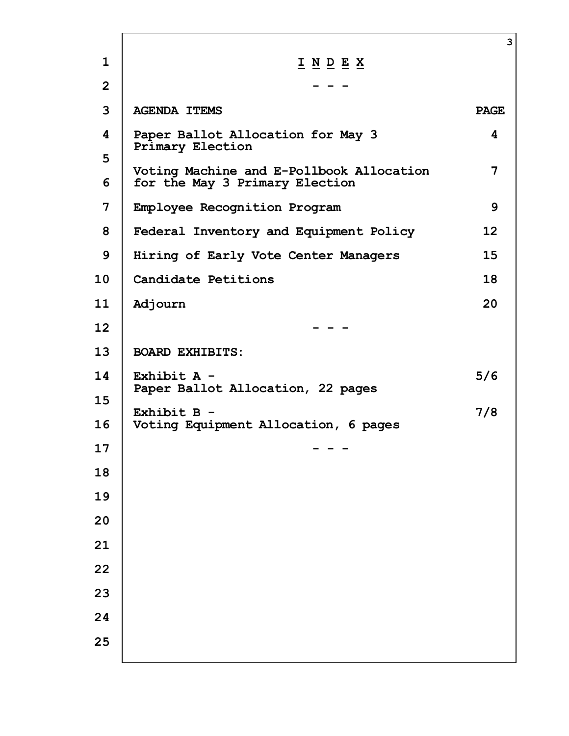|                |                                                                                                                      | 3           |
|----------------|----------------------------------------------------------------------------------------------------------------------|-------------|
| $\mathbf{1}$   | $\underline{\textbf{I}} \underline{\textbf{N}} \underline{\textbf{D}} \underline{\textbf{E}} \underline{\textbf{X}}$ |             |
| $\overline{2}$ |                                                                                                                      |             |
| 3              | <b>AGENDA ITEMS</b>                                                                                                  | <b>PAGE</b> |
| 4              | Paper Ballot Allocation for May 3<br><b>Primary Election</b>                                                         | 4           |
| 5<br>6         | Voting Machine and E-Pollbook Allocation<br>for the May 3 Primary Election                                           | 7           |
| 7              | Employee Recognition Program                                                                                         | 9           |
| 8              | Federal Inventory and Equipment Policy                                                                               | 12          |
| 9              | Hiring of Early Vote Center Managers                                                                                 | 15          |
| 10             | Candidate Petitions                                                                                                  | 18          |
| 11             | Adjourn                                                                                                              | 20          |
| 12             |                                                                                                                      |             |
| 13             | <b>BOARD EXHIBITS:</b>                                                                                               |             |
| 14<br>15       | Exhibit $A -$<br>Paper Ballot Allocation, 22 pages                                                                   | 5/6         |
| 16             | Exhibit $B -$<br>Voting Equipment Allocation, 6 pages                                                                | 7/8         |
| 17             |                                                                                                                      |             |
| 18             |                                                                                                                      |             |
| 19             |                                                                                                                      |             |
| 20             |                                                                                                                      |             |
| 21             |                                                                                                                      |             |
| 22             |                                                                                                                      |             |
| 23             |                                                                                                                      |             |
| 24             |                                                                                                                      |             |
| 25             |                                                                                                                      |             |
|                |                                                                                                                      |             |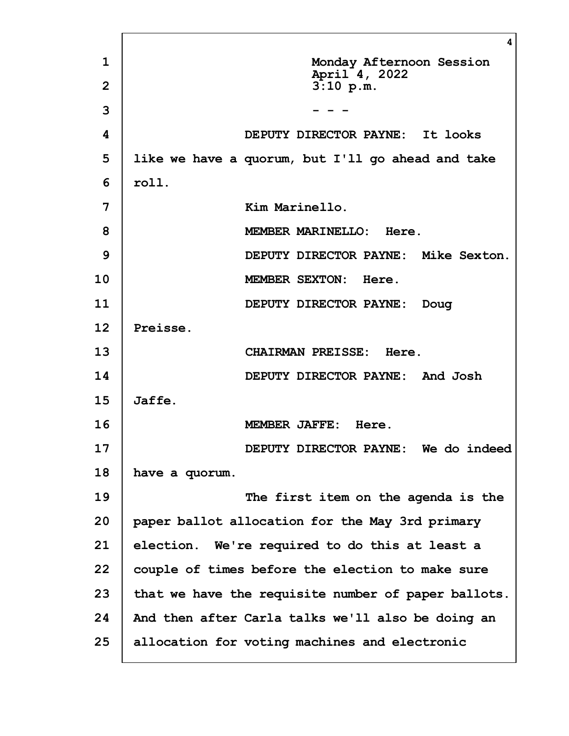|              | 4                                                   |
|--------------|-----------------------------------------------------|
| $\mathbf{1}$ | Monday Afternoon Session<br>April 4, 2022           |
| $\mathbf{2}$ | 3:10 p.m.                                           |
| 3            |                                                     |
| 4            | DEPUTY DIRECTOR PAYNE: It looks                     |
| 5            | like we have a quorum, but I'll go ahead and take   |
| 6            | roll.                                               |
| 7            | Kim Marinello.                                      |
| 8            | MEMBER MARINELLO: Here.                             |
| 9            | DEPUTY DIRECTOR PAYNE: Mike Sexton.                 |
| 10           | MEMBER SEXTON: Here.                                |
| 11           | DEPUTY DIRECTOR PAYNE:<br>Doug                      |
| 12           | Preisse.                                            |
| 13           | <b>CHAIRMAN PREISSE: Here.</b>                      |
| 14           | DEPUTY DIRECTOR PAYNE: And Josh                     |
| 15           | Jaffe.                                              |
| 16           | MEMBER JAFFE: Here.                                 |
| 17           | DEPUTY DIRECTOR PAYNE: We do indeed                 |
| 18           | have a quorum.                                      |
| 19           | The first item on the agenda is the                 |
| 20           | paper ballot allocation for the May 3rd primary     |
| 21           | election. We're required to do this at least a      |
| 22           | couple of times before the election to make sure    |
| 23           | that we have the requisite number of paper ballots. |
| 24           | And then after Carla talks we'll also be doing an   |
| 25           | allocation for voting machines and electronic       |
|              |                                                     |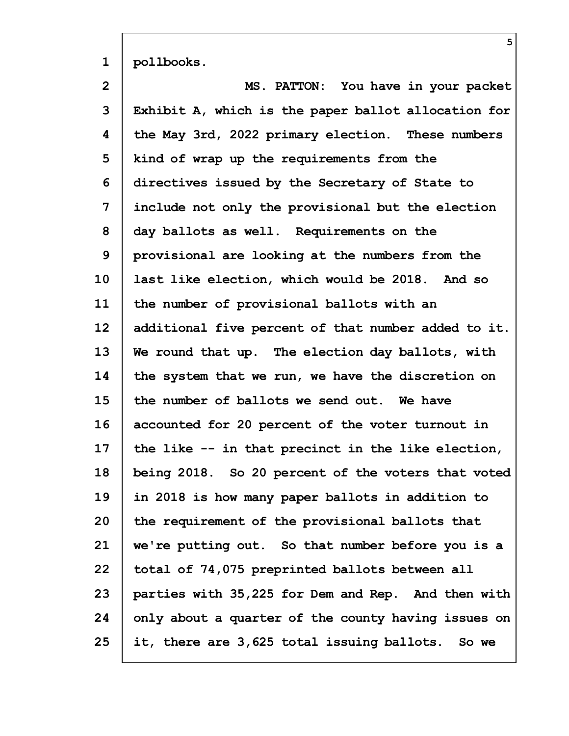| $\mathbf{1}$   | pollbooks.                                          |
|----------------|-----------------------------------------------------|
| $\overline{2}$ | MS. PATTON: You have in your packet                 |
| 3              | Exhibit A, which is the paper ballot allocation for |
| 4              | the May 3rd, 2022 primary election. These numbers   |
| 5              | kind of wrap up the requirements from the           |
| 6              | directives issued by the Secretary of State to      |
| 7              | include not only the provisional but the election   |
| 8              | day ballots as well. Requirements on the            |
| 9              | provisional are looking at the numbers from the     |
| 10             | last like election, which would be 2018. And so     |
| 11             | the number of provisional ballots with an           |
| 12             | additional five percent of that number added to it. |
| 13             | We round that up. The election day ballots, with    |
| 14             | the system that we run, we have the discretion on   |
| 15             | the number of ballots we send out. We have          |
| 16             | accounted for 20 percent of the voter turnout in    |
| 17             | the like -- in that precinct in the like election,  |
| 18             | being 2018. So 20 percent of the voters that voted  |
| 19             | in 2018 is how many paper ballots in addition to    |
| 20             | the requirement of the provisional ballots that     |
| 21             | we're putting out. So that number before you is a   |
| 22             | total of 74,075 preprinted ballots between all      |
| 23             | parties with 35,225 for Dem and Rep. And then with  |
| 24             | only about a quarter of the county having issues on |
| 25             | it, there are 3,625 total issuing ballots. So we    |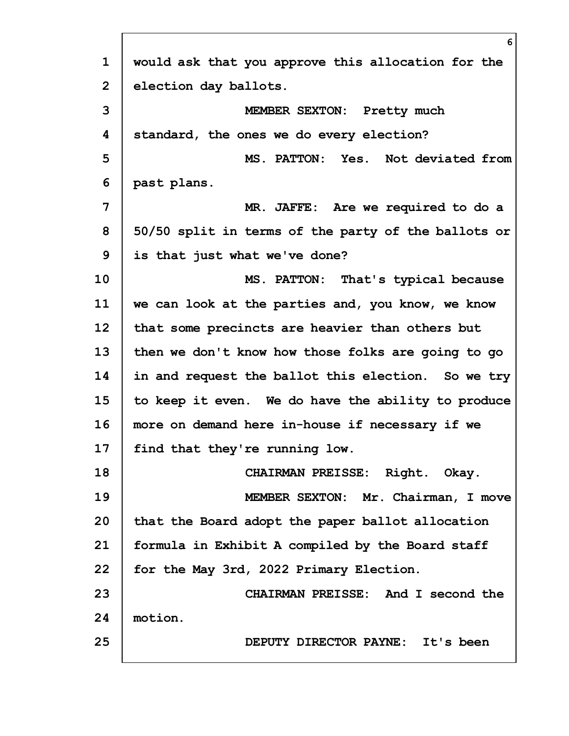|                | 6                                                   |
|----------------|-----------------------------------------------------|
| $\mathbf 1$    | would ask that you approve this allocation for the  |
| $\overline{2}$ | election day ballots.                               |
| 3              | MEMBER SEXTON: Pretty much                          |
| 4              | standard, the ones we do every election?            |
| 5              | MS. PATTON: Yes. Not deviated from                  |
| 6              | past plans.                                         |
| 7              | MR. JAFFE: Are we required to do a                  |
| 8              | 50/50 split in terms of the party of the ballots or |
| 9              | is that just what we've done?                       |
| 10             | MS. PATTON: That's typical because                  |
| 11             | we can look at the parties and, you know, we know   |
| 12             | that some precincts are heavier than others but     |
| 13             | then we don't know how those folks are going to go  |
| 14             | in and request the ballot this election. So we try  |
| 15             | to keep it even. We do have the ability to produce  |
| 16             | more on demand here in-house if necessary if we     |
| 17             | find that they're running low.                      |
| 18             | CHAIRMAN PREISSE: Right. Okay.                      |
| 19             | MEMBER SEXTON: Mr. Chairman, I move                 |
| 20             | that the Board adopt the paper ballot allocation    |
| 21             | formula in Exhibit A compiled by the Board staff    |
| 22             | for the May 3rd, 2022 Primary Election.             |
| 23             | CHAIRMAN PREISSE: And I second the                  |
| 24             | motion.                                             |
| 25             | DEPUTY DIRECTOR PAYNE: It's been                    |
|                |                                                     |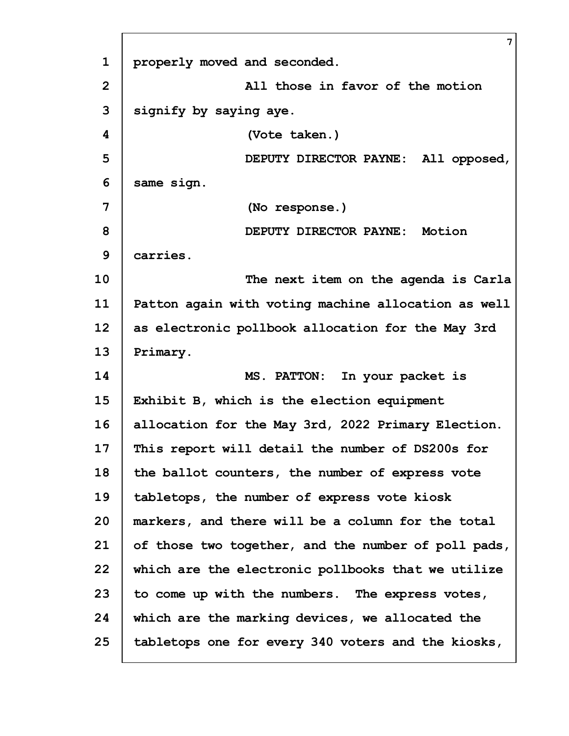|                | $\overline{7}$                                      |
|----------------|-----------------------------------------------------|
| $\mathbf{1}$   | properly moved and seconded.                        |
| $\overline{2}$ | All those in favor of the motion                    |
| 3              | signify by saying aye.                              |
| 4              | (Vote taken.)                                       |
| 5              | DEPUTY DIRECTOR PAYNE: All opposed,                 |
| 6              | same sign.                                          |
| 7              | (No response.)                                      |
| 8              | DEPUTY DIRECTOR PAYNE: Motion                       |
| 9              | carries.                                            |
| 10             | The next item on the agenda is Carla                |
| 11             | Patton again with voting machine allocation as well |
| 12             | as electronic pollbook allocation for the May 3rd   |
| 13             | Primary.                                            |
| 14             | MS. PATTON: In your packet is                       |
| 15             | Exhibit B, which is the election equipment          |
| 16             | allocation for the May 3rd, 2022 Primary Election.  |
| 17             | This report will detail the number of DS200s for    |
| 18             | the ballot counters, the number of express vote     |
| 19             | tabletops, the number of express vote kiosk         |
| 20             | markers, and there will be a column for the total   |
| 21             | of those two together, and the number of poll pads, |
| 22             | which are the electronic pollbooks that we utilize  |
| 23             | to come up with the numbers. The express votes,     |
| 24             | which are the marking devices, we allocated the     |
| 25             | tabletops one for every 340 voters and the kiosks,  |
|                |                                                     |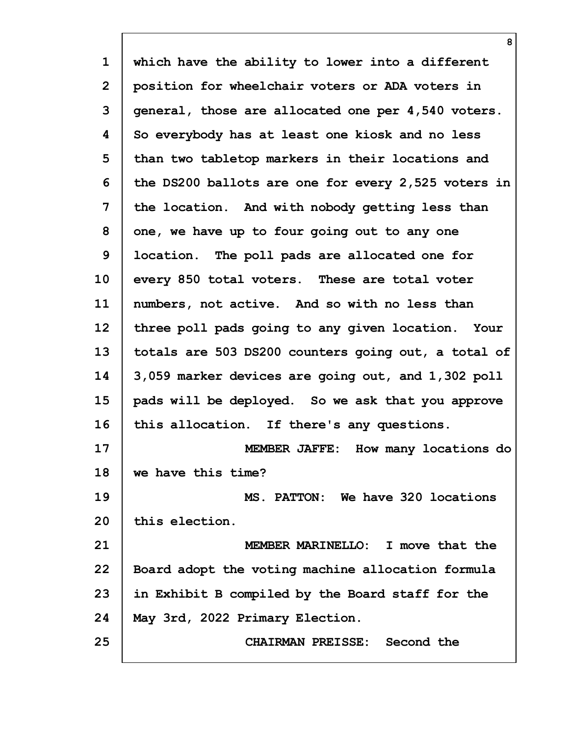**1 2 3 4 5 6 7 8 9 10 11 12 13 14 15 16 17 18 19 20 21 22 23 24 25 which have the ability to lower into a different position for wheelchair voters or ADA voters in general, those are allocated one per 4,540 voters. So everybody has at least one kiosk and no less than two tabletop markers in their locations and the DS200 ballots are one for every 2,525 voters in the location. And with nobody getting less than one, we have up to four going out to any one location. The poll pads are allocated one for every 850 total voters. These are total voter numbers, not active. And so with no less than three poll pads going to any given location. Your totals are 503 DS200 counters going out, a total of 3,059 marker devices are going out, and 1,302 poll pads will be deployed. So we ask that you approve this allocation. If there's any questions. MEMBER JAFFE: How many locations do we have this time? MS. PATTON: We have 320 locations this election. MEMBER MARINELLO: I move that the Board adopt the voting machine allocation formula in Exhibit B compiled by the Board staff for the May 3rd, 2022 Primary Election. CHAIRMAN PREISSE: Second the**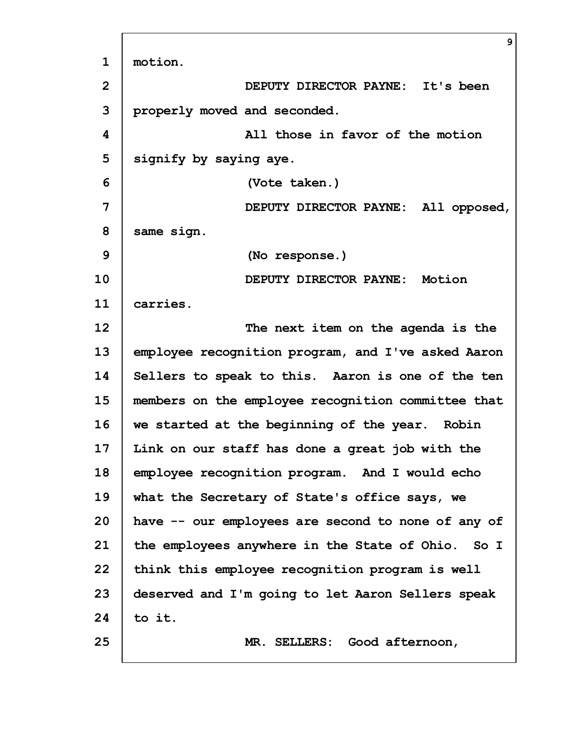|                | 9                                                  |
|----------------|----------------------------------------------------|
| $\mathbf{1}$   | motion.                                            |
| $\overline{2}$ | DEPUTY DIRECTOR PAYNE: It's been                   |
| 3              | properly moved and seconded.                       |
| 4              | All those in favor of the motion                   |
| 5              | signify by saying aye.                             |
| 6              | (Vote taken.)                                      |
| 7              | DEPUTY DIRECTOR PAYNE: All opposed,                |
| 8              | same sign.                                         |
| 9              | (No response.)                                     |
| 10             | DEPUTY DIRECTOR PAYNE: Motion                      |
| 11             | carries.                                           |
| 12             | The next item on the agenda is the                 |
| 13             | employee recognition program, and I've asked Aaron |
| 14             | Sellers to speak to this. Aaron is one of the ten  |
| 15             | members on the employee recognition committee that |
| 16             | we started at the beginning of the year. Robin     |
| 17             | Link on our staff has done a great job with the    |
| 18             | employee recognition program. And I would echo     |
| 19             | what the Secretary of State's office says, we      |
| 20             | have -- our employees are second to none of any of |
| 21             | the employees anywhere in the State of Ohio. So I  |
| 22             | think this employee recognition program is well    |
| 23             | deserved and I'm going to let Aaron Sellers speak  |
| 24             | to it.                                             |
| 25             | MR. SELLERS: Good afternoon,                       |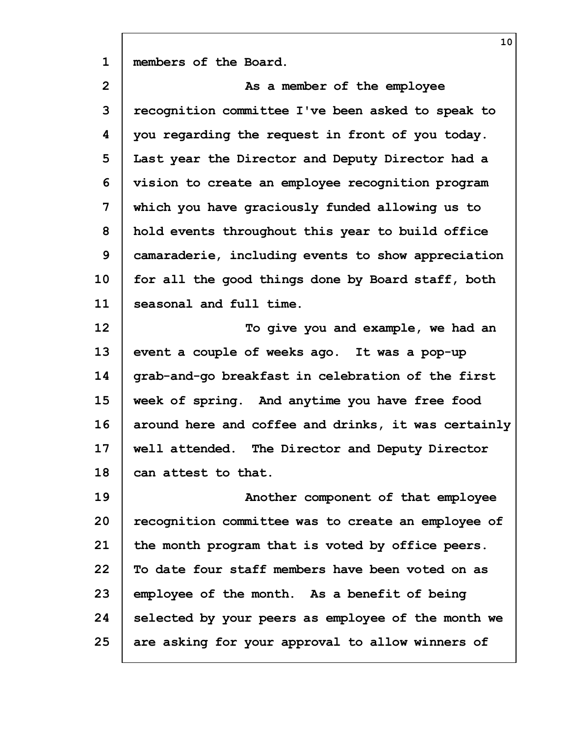| members of the Board. |  |
|-----------------------|--|
|-----------------------|--|

**2 3 4 5 6 7 8 9 10 11 12 As a member of the employee recognition committee I've been asked to speak to you regarding the request in front of you today. Last year the Director and Deputy Director had a vision to create an employee recognition program which you have graciously funded allowing us to hold events throughout this year to build office camaraderie, including events to show appreciation for all the good things done by Board staff, both seasonal and full time. To give you and example, we had an**

**13 14 15 16 17 18 event a couple of weeks ago. It was a pop-up grab-and-go breakfast in celebration of the first week of spring. And anytime you have free food around here and coffee and drinks, it was certainly well attended. The Director and Deputy Director can attest to that.**

**19 20 21 22 23 24 25 Another component of that employee recognition committee was to create an employee of the month program that is voted by office peers. To date four staff members have been voted on as employee of the month. As a benefit of being selected by your peers as employee of the month we are asking for your approval to allow winners of**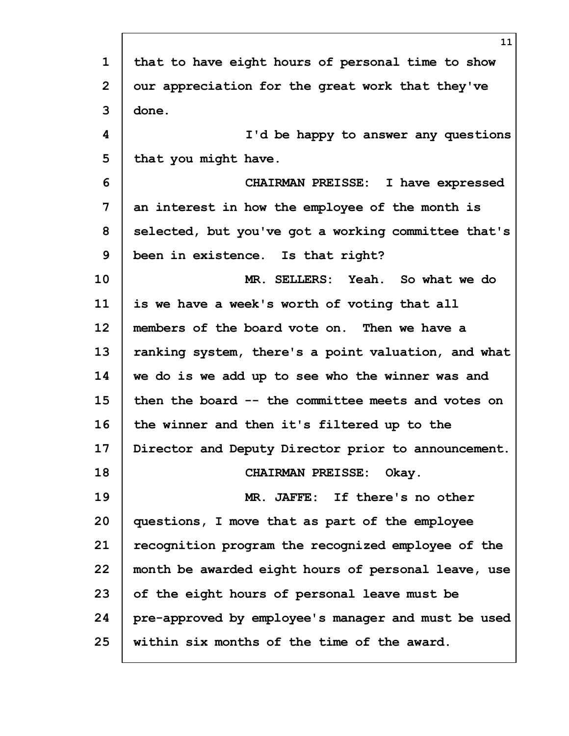|                | 11                                                  |
|----------------|-----------------------------------------------------|
| $\mathbf 1$    | that to have eight hours of personal time to show   |
| $\overline{2}$ | our appreciation for the great work that they've    |
| 3              | done.                                               |
| 4              | I'd be happy to answer any questions                |
| 5              | that you might have.                                |
| 6              | CHAIRMAN PREISSE: I have expressed                  |
| 7              | an interest in how the employee of the month is     |
| 8              | selected, but you've got a working committee that's |
| 9              | been in existence. Is that right?                   |
| 10             | MR. SELLERS: Yeah. So what we do                    |
| 11             | is we have a week's worth of voting that all        |
| 12             | members of the board vote on. Then we have a        |
| 13             | ranking system, there's a point valuation, and what |
| 14             | we do is we add up to see who the winner was and    |
| 15             | then the board -- the committee meets and votes on  |
| 16             | the winner and then it's filtered up to the         |
| 17             | Director and Deputy Director prior to announcement. |
| 18             | CHAIRMAN PREISSE: Okay.                             |
| 19             | MR. JAFFE: If there's no other                      |
| 20             | questions, I move that as part of the employee      |
| 21             | recognition program the recognized employee of the  |
| 22             | month be awarded eight hours of personal leave, use |
| 23             | of the eight hours of personal leave must be        |
| 24             | pre-approved by employee's manager and must be used |
| 25             | within six months of the time of the award.         |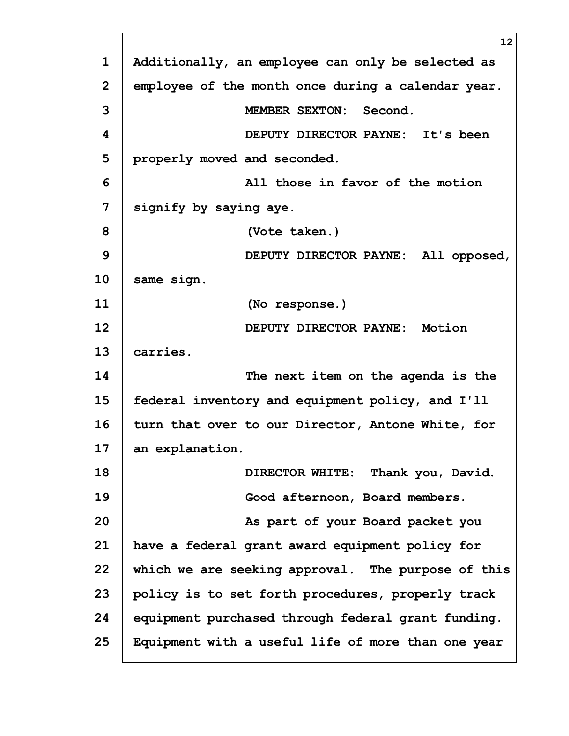|             | 12 <sub>2</sub>                                    |
|-------------|----------------------------------------------------|
| $\mathbf 1$ | Additionally, an employee can only be selected as  |
| 2           | employee of the month once during a calendar year. |
| 3           | <b>MEMBER SEXTON:</b><br>Second.                   |
| 4           | DEPUTY DIRECTOR PAYNE: It's been                   |
| 5           | properly moved and seconded.                       |
| 6           | All those in favor of the motion                   |
| 7           | signify by saying aye.                             |
| 8           | (Vote taken.)                                      |
| 9           | DEPUTY DIRECTOR PAYNE: All opposed,                |
| 10          | same sign.                                         |
| 11          | (No response.)                                     |
| 12          | DEPUTY DIRECTOR PAYNE:<br>Motion                   |
| 13          | carries.                                           |
| 14          | The next item on the agenda is the                 |
| 15          | federal inventory and equipment policy, and I'll   |
| 16          | turn that over to our Director, Antone White, for  |
| 17          | an explanation.                                    |
| 18          | DIRECTOR WHITE: Thank you, David.                  |
| 19          | Good afternoon, Board members.                     |
| 20          | As part of your Board packet you                   |
| 21          | have a federal grant award equipment policy for    |
| 22          | which we are seeking approval. The purpose of this |
| 23          | policy is to set forth procedures, properly track  |
| 24          | equipment purchased through federal grant funding. |
| 25          | Equipment with a useful life of more than one year |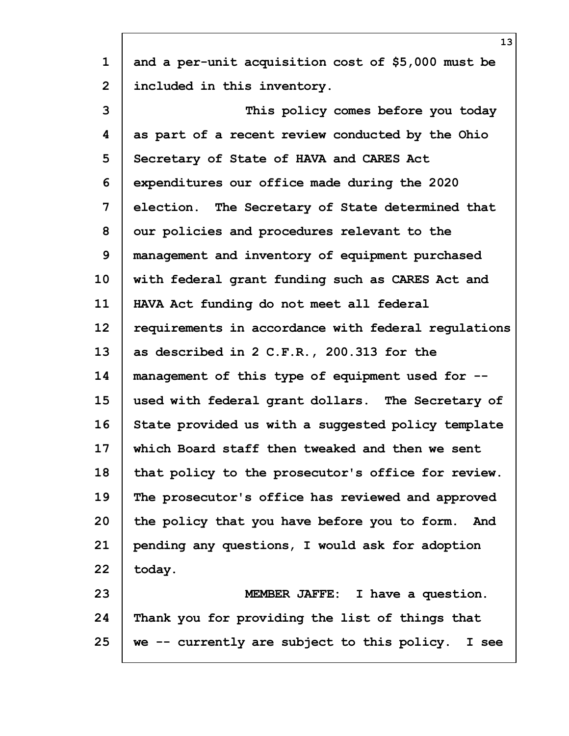| $\mathbf 1$  | and a per-unit acquisition cost of \$5,000 must be  |
|--------------|-----------------------------------------------------|
| $\mathbf{2}$ | included in this inventory.                         |
| 3            | This policy comes before you today                  |
| 4            | as part of a recent review conducted by the Ohio    |
| 5            | Secretary of State of HAVA and CARES Act            |
| 6            | expenditures our office made during the 2020        |
| 7            | election. The Secretary of State determined that    |
| 8            | our policies and procedures relevant to the         |
| 9            | management and inventory of equipment purchased     |
| 10           | with federal grant funding such as CARES Act and    |
| 11           | HAVA Act funding do not meet all federal            |
| 12           | requirements in accordance with federal regulations |
| 13           | as described in 2 C.F.R., 200.313 for the           |
| 14           | management of this type of equipment used for --    |
| 15           | used with federal grant dollars. The Secretary of   |
| 16           | State provided us with a suggested policy template  |
| 17           | which Board staff then tweaked and then we sent     |
| 18           | that policy to the prosecutor's office for review.  |
| 19           | The prosecutor's office has reviewed and approved   |
| 20           | the policy that you have before you to form. And    |
| 21           | pending any questions, I would ask for adoption     |
| 22           | today.                                              |
| 23           | MEMBER JAFFE: I have a question.                    |
| 24           | Thank you for providing the list of things that     |
| 25           | we -- currently are subject to this policy. I see   |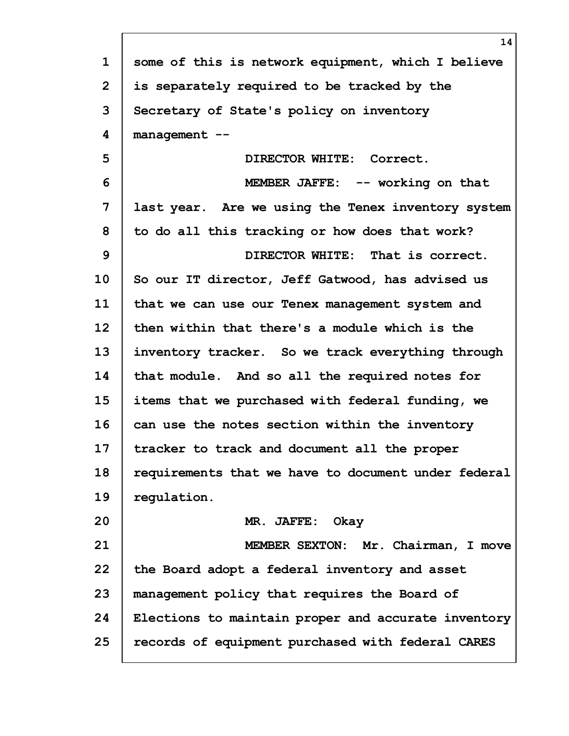| $\mathbf{1}$ | some of this is network equipment, which I believe  |
|--------------|-----------------------------------------------------|
| $\mathbf{2}$ | is separately required to be tracked by the         |
| 3            | Secretary of State's policy on inventory            |
| 4            | management --                                       |
| 5            | DIRECTOR WHITE: Correct.                            |
| 6            | MEMBER JAFFE: -- working on that                    |
| 7            | last year. Are we using the Tenex inventory system  |
| 8            | to do all this tracking or how does that work?      |
| 9            | DIRECTOR WHITE: That is correct.                    |
| 10           | So our IT director, Jeff Gatwood, has advised us    |
| 11           | that we can use our Tenex management system and     |
| 12           | then within that there's a module which is the      |
| 13           | inventory tracker. So we track everything through   |
| 14           | that module. And so all the required notes for      |
| 15           | items that we purchased with federal funding, we    |
| 16           | can use the notes section within the inventory      |
| 17           | tracker to track and document all the proper        |
| 18           | requirements that we have to document under federal |
| 19           | regulation.                                         |
| 20           | Okay<br>MR. JAFFE:                                  |
| 21           | MEMBER SEXTON: Mr. Chairman, I move                 |
| 22           | the Board adopt a federal inventory and asset       |
| 23           | management policy that requires the Board of        |
| 24           | Elections to maintain proper and accurate inventory |
| 25           | records of equipment purchased with federal CARES   |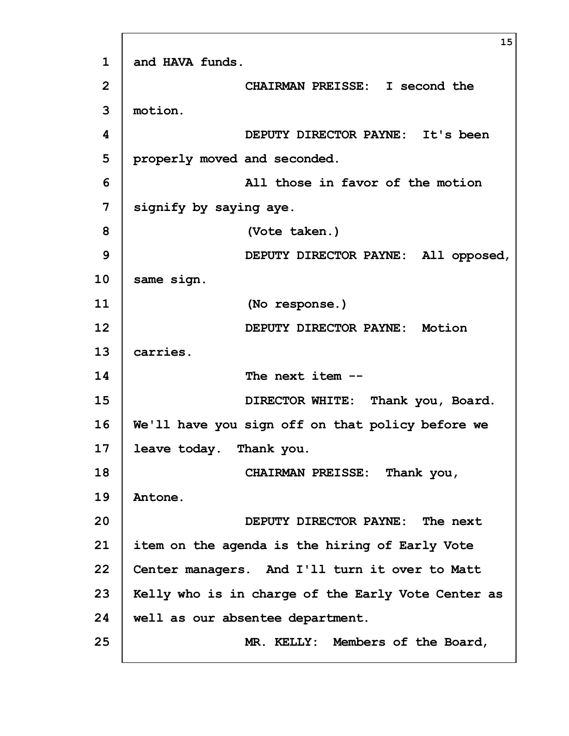|                | 15                                                 |
|----------------|----------------------------------------------------|
| $\mathbf{1}$   | and HAVA funds.                                    |
| 2              | CHAIRMAN PREISSE: I second the                     |
| 3              | motion.                                            |
| 4              | DEPUTY DIRECTOR PAYNE: It's been                   |
| 5              | properly moved and seconded.                       |
| 6              | All those in favor of the motion                   |
| $\overline{7}$ | signify by saying aye.                             |
| 8              | (Vote taken.)                                      |
| 9              | DEPUTY DIRECTOR PAYNE: All opposed,                |
| 10             | same sign.                                         |
| 11             | (No response.)                                     |
| 12             | DEPUTY DIRECTOR PAYNE: Motion                      |
| 13             | carries.                                           |
| 14             | The next item --                                   |
| 15             | DIRECTOR WHITE: Thank you, Board.                  |
| 16             | We'll have you sign off on that policy before we   |
| 17             | leave today.<br>Thank you.                         |
| 18             | CHAIRMAN PREISSE: Thank you,                       |
| 19             | Antone.                                            |
| 20             | DEPUTY DIRECTOR PAYNE: The next                    |
| 21             | item on the agenda is the hiring of Early Vote     |
| 22             | Center managers. And I'll turn it over to Matt     |
| 23             | Kelly who is in charge of the Early Vote Center as |
| 24             | well as our absentee department.                   |
| 25             | MR. KELLY: Members of the Board,                   |

 $\Gamma$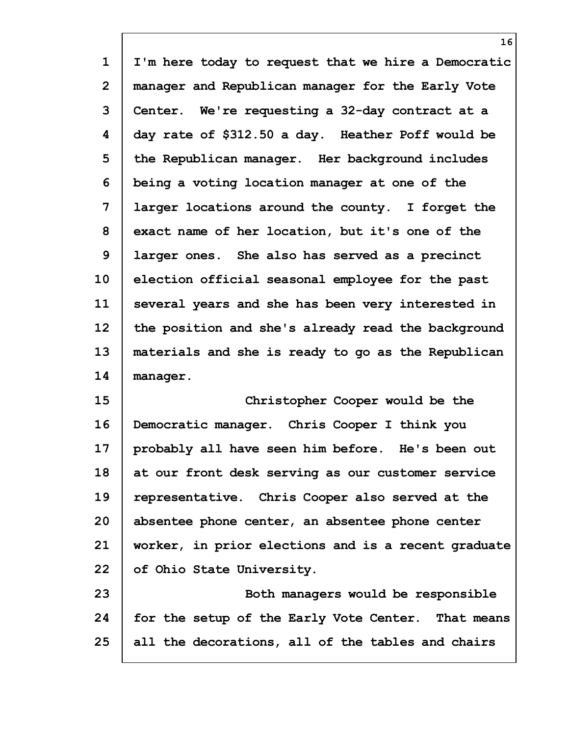**1 2 3 4 5 6 7 8 9 10 11 12 13 14 15 16 17 18 I'm here today to request that we hire a Democratic manager and Republican manager for the Early Vote Center. We're requesting a 32-day contract at a day rate of \$312.50 a day. Heather Poff would be the Republican manager. Her background includes being a voting location manager at one of the larger locations around the county. I forget the exact name of her location, but it's one of the larger ones. She also has served as a precinct election official seasonal employee for the past several years and she has been very interested in the position and she's already read the background materials and she is ready to go as the Republican manager. Christopher Cooper would be the Democratic manager. Chris Cooper I think you probably all have seen him before. He's been out at our front desk serving as our customer service**

**19 20 21 22 representative. Chris Cooper also served at the absentee phone center, an absentee phone center worker, in prior elections and is a recent graduate of Ohio State University.**

**23 24 25 Both managers would be responsible for the setup of the Early Vote Center. That means all the decorations, all of the tables and chairs**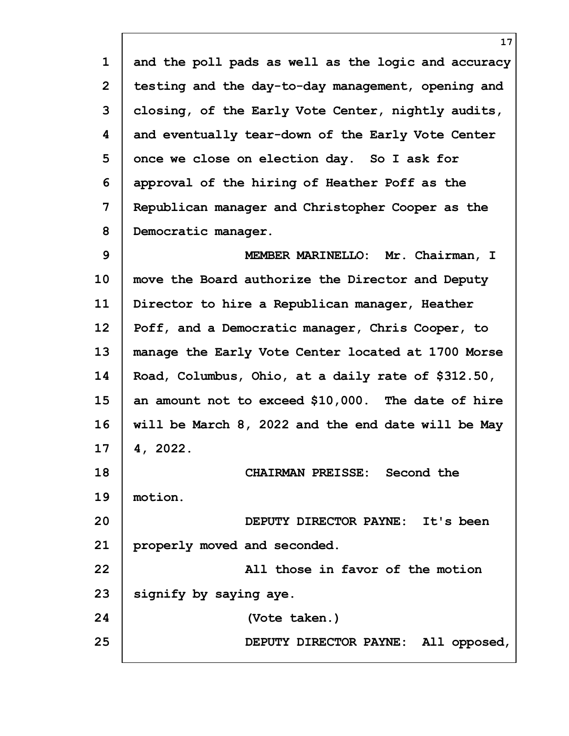**1 2 3 4 5 6 7 8 9 10 11 12 13 14 15 16 17 18 19 20 21 22 23 24 25 17 and the poll pads as well as the logic and accuracy testing and the day-to-day management, opening and closing, of the Early Vote Center, nightly audits, and eventually tear-down of the Early Vote Center once we close on election day. So I ask for approval of the hiring of Heather Poff as the Republican manager and Christopher Cooper as the Democratic manager. MEMBER MARINELLO: Mr. Chairman, I move the Board authorize the Director and Deputy Director to hire a Republican manager, Heather Poff, and a Democratic manager, Chris Cooper, to manage the Early Vote Center located at 1700 Morse Road, Columbus, Ohio, at a daily rate of \$312.50, an amount not to exceed \$10,000. The date of hire will be March 8, 2022 and the end date will be May 4, 2022. CHAIRMAN PREISSE: Second the motion. DEPUTY DIRECTOR PAYNE: It's been properly moved and seconded. All those in favor of the motion signify by saying aye. (Vote taken.) DEPUTY DIRECTOR PAYNE: All opposed,**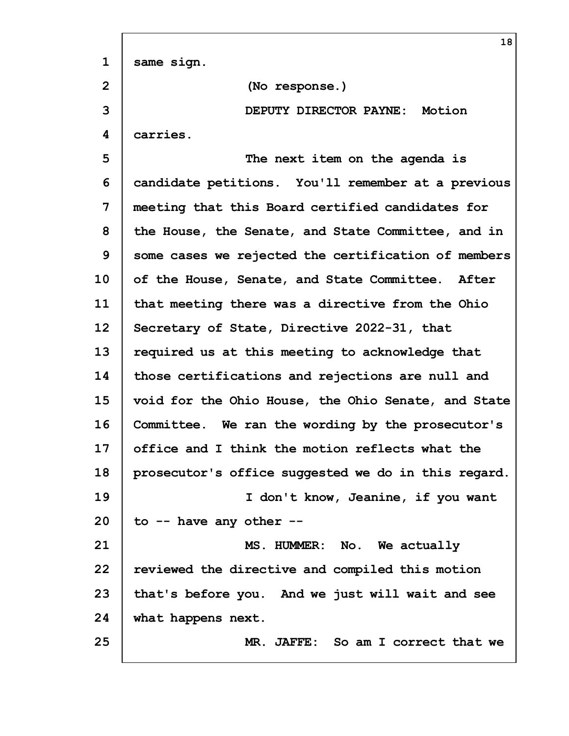|                | 18                                                  |
|----------------|-----------------------------------------------------|
| $\mathbf 1$    | same sign.                                          |
| $\overline{2}$ | (No response.)                                      |
| 3              | DEPUTY DIRECTOR PAYNE: Motion                       |
| 4              | carries.                                            |
| 5              | The next item on the agenda is                      |
| 6              | candidate petitions. You'll remember at a previous  |
| 7              | meeting that this Board certified candidates for    |
| 8              | the House, the Senate, and State Committee, and in  |
| 9              | some cases we rejected the certification of members |
| 10             | of the House, Senate, and State Committee. After    |
| 11             | that meeting there was a directive from the Ohio    |
| 12             | Secretary of State, Directive 2022-31, that         |
| 13             | required us at this meeting to acknowledge that     |
| 14             | those certifications and rejections are null and    |
| 15             | void for the Ohio House, the Ohio Senate, and State |
| 16             | Committee. We ran the wording by the prosecutor's   |
| 17             | office and I think the motion reflects what the     |
| 18             | prosecutor's office suggested we do in this regard. |
| 19             | I don't know, Jeanine, if you want                  |
| 20             | to -- have any other --                             |
| 21             | MS. HUMMER: No. We actually                         |
| 22             | reviewed the directive and compiled this motion     |
| 23             | that's before you. And we just will wait and see    |
| 24             | what happens next.                                  |
| 25             | MR. JAFFE: So am I correct that we                  |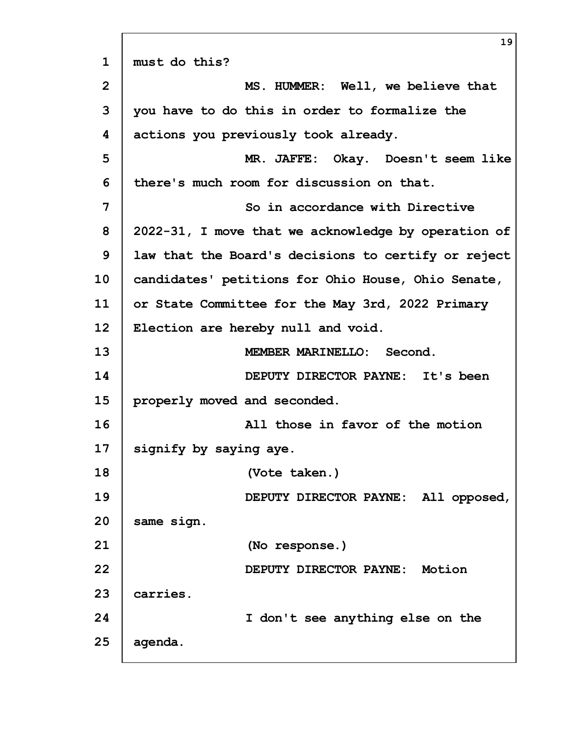|                | 19                                                  |
|----------------|-----------------------------------------------------|
| $\mathbf 1$    | must do this?                                       |
| $\overline{2}$ | MS. HUMMER: Well, we believe that                   |
| 3              | you have to do this in order to formalize the       |
| 4              | actions you previously took already.                |
| 5              | MR. JAFFE: Okay. Doesn't seem like                  |
| 6              | there's much room for discussion on that.           |
| 7              | So in accordance with Directive                     |
| 8              | 2022-31, I move that we acknowledge by operation of |
| 9              | law that the Board's decisions to certify or reject |
| 10             | candidates' petitions for Ohio House, Ohio Senate,  |
| 11             | or State Committee for the May 3rd, 2022 Primary    |
| 12             | Election are hereby null and void.                  |
| 13             | MEMBER MARINELLO: Second.                           |
| 14             | DEPUTY DIRECTOR PAYNE: It's been                    |
| 15             | properly moved and seconded.                        |
| 16             | All those in favor of the motion                    |
| 17             | signify by saying aye.                              |
| 18             | (Vote taken.)                                       |
| 19             | DEPUTY DIRECTOR PAYNE: All opposed,                 |
| 20             | same sign.                                          |
| 21             | (No response.)                                      |
| 22             | DEPUTY DIRECTOR PAYNE: Motion                       |
| 23             | carries.                                            |
| 24             | I don't see anything else on the                    |
| 25             | agenda.                                             |
|                |                                                     |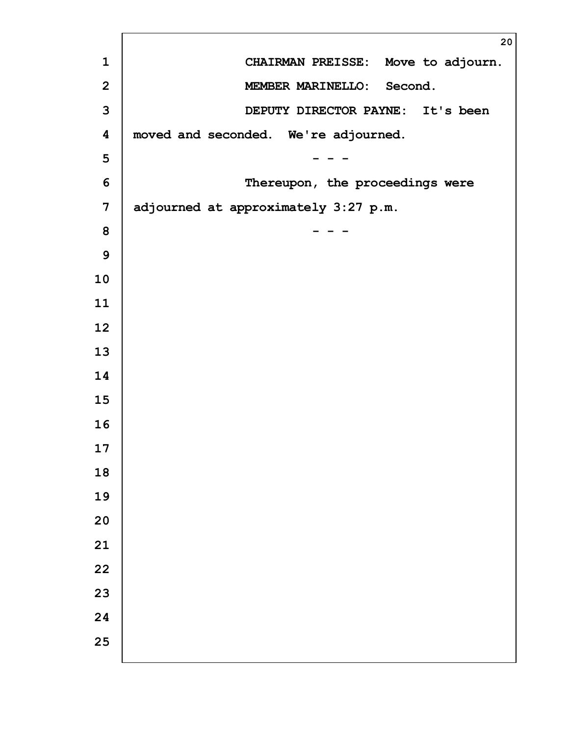| 20                                   |
|--------------------------------------|
| CHAIRMAN PREISSE: Move to adjourn.   |
| MEMBER MARINELLO: Second.            |
| DEPUTY DIRECTOR PAYNE: It's been     |
| moved and seconded. We're adjourned. |
|                                      |
| Thereupon, the proceedings were      |
| adjourned at approximately 3:27 p.m. |
|                                      |
|                                      |
|                                      |
|                                      |
|                                      |
|                                      |
|                                      |
|                                      |
|                                      |
|                                      |
|                                      |
|                                      |
|                                      |
|                                      |
|                                      |
|                                      |
|                                      |
|                                      |
|                                      |